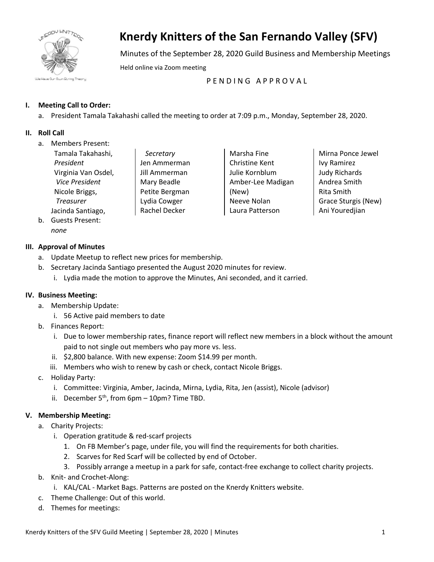

# **Knerdy Knitters of the San Fernando Valley (SFV)**

Minutes of the September 28, 2020 Guild Business and Membership Meetings

Held online via Zoom meeting

PENDING APPROVAL

## **I. Meeting Call to Order:**

a. President Tamala Takahashi called the meeting to order at 7:09 p.m., Monday, September 28, 2020.

#### **II. Roll Call**

a. Members Present:

| Tamala Takahashi,   |
|---------------------|
| President           |
| Virginia Van Osdel, |
| Vice President      |
| Nicole Briggs,      |
| Treasurer           |
| Jacinda Santiago,   |

*Secretary* Jen Ammerman Jill Ammerman Mary Beadle Petite Bergman Lydia Cowger Rachel Decker

Marsha Fine Christine Kent Julie Kornblum Amber-Lee Madigan (New) Neeve Nolan Laura Patterson

Mirna Ponce Jewel Ivy Ramirez Judy Richards Andrea Smith Rita Smith Grace Sturgis (New) Ani Youredjian

b. Guests Present:

## *none*

## **III. Approval of Minutes**

- a. Update Meetup to reflect new prices for membership.
- b. Secretary Jacinda Santiago presented the August 2020 minutes for review.
	- i. Lydia made the motion to approve the Minutes, Ani seconded, and it carried.

## **IV. Business Meeting:**

- a. Membership Update:
	- i. 56 Active paid members to date
- b. Finances Report:
	- i. Due to lower membership rates, finance report will reflect new members in a block without the amount paid to not single out members who pay more vs. less.
	- ii. \$2,800 balance. With new expense: Zoom \$14.99 per month.
	- iii. Members who wish to renew by cash or check, contact Nicole Briggs.
- c. Holiday Party:
	- i. Committee: Virginia, Amber, Jacinda, Mirna, Lydia, Rita, Jen (assist), Nicole (advisor)
	- ii. December  $5<sup>th</sup>$ , from  $6pm 10pm$ ? Time TBD.

## **V. Membership Meeting:**

- a. Charity Projects:
	- i. Operation gratitude & red-scarf projects
		- 1. On FB Member's page, under file, you will find the requirements for both charities.
		- 2. Scarves for Red Scarf will be collected by end of October.
		- 3. Possibly arrange a meetup in a park for safe, contact-free exchange to collect charity projects.
- b. Knit- and Crochet-Along:
	- i. KAL/CAL Market Bags. Patterns are posted on the Knerdy Knitters website.
- c. Theme Challenge: Out of this world.
- d. Themes for meetings: